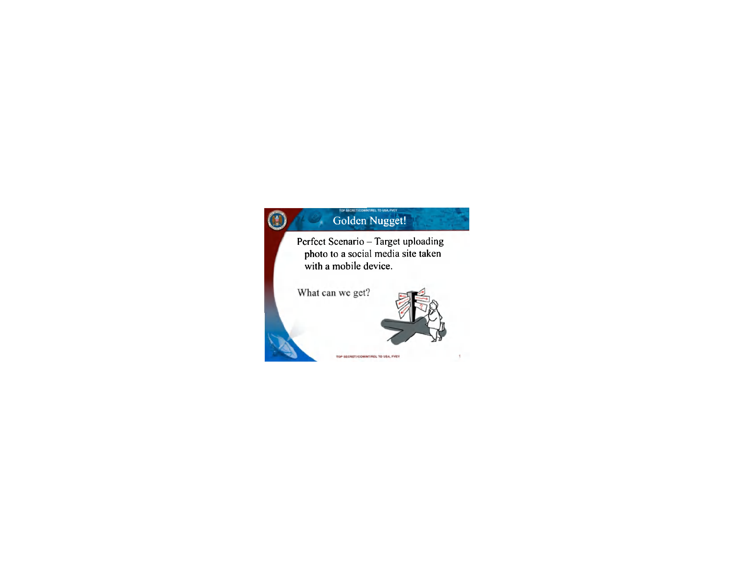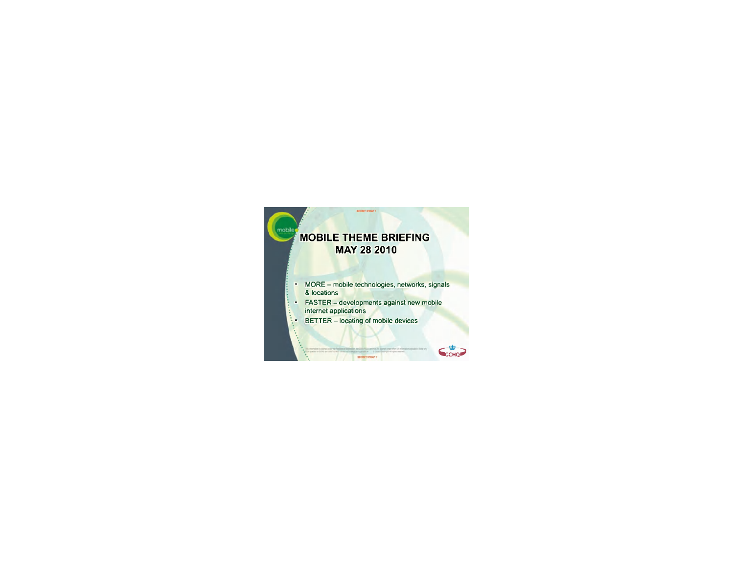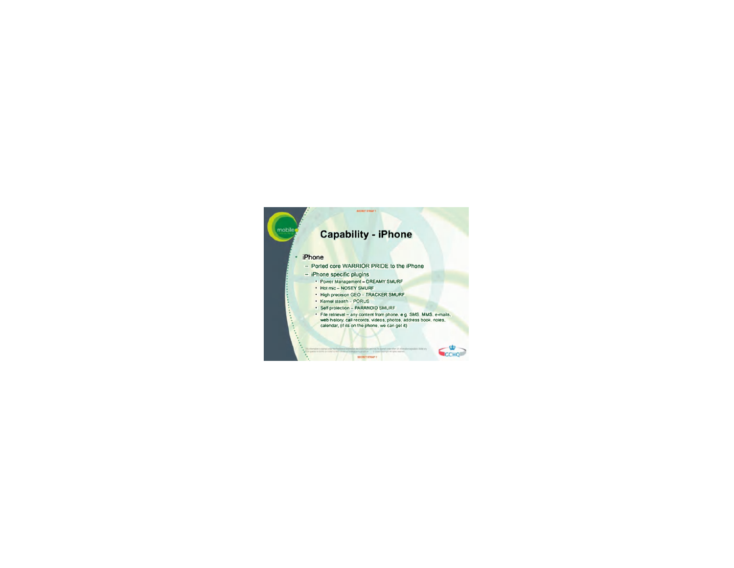